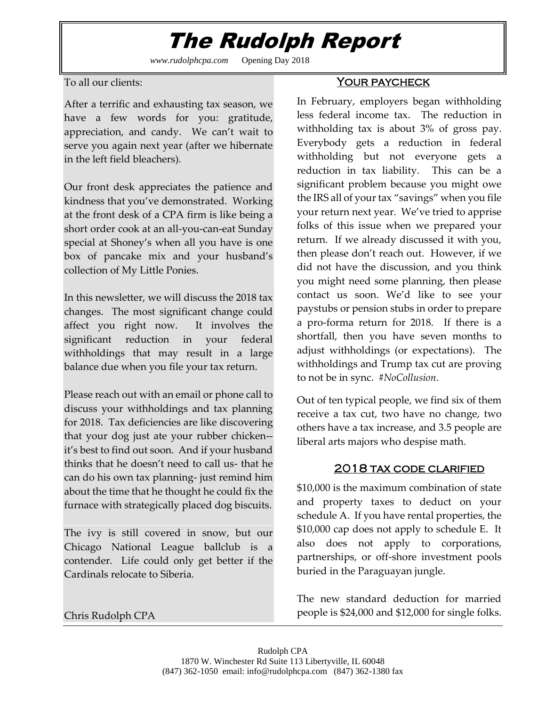## The Rudolph Report

*www.rudolphcpa.com* Opening Day 2018

To all our clients:

After a terrific and exhausting tax season, we have a few words for you: gratitude, appreciation, and candy. We can't wait to serve you again next year (after we hibernate in the left field bleachers).

Our front desk appreciates the patience and kindness that you've demonstrated. Working at the front desk of a CPA firm is like being a short order cook at an all-you-can-eat Sunday special at Shoney's when all you have is one box of pancake mix and your husband's collection of My Little Ponies.

In this newsletter, we will discuss the 2018 tax changes. The most significant change could affect you right now. It involves the significant reduction in your federal withholdings that may result in a large balance due when you file your tax return.

Please reach out with an email or phone call to discuss your withholdings and tax planning for 2018. Tax deficiencies are like discovering that your dog just ate your rubber chicken- it's best to find out soon. And if your husband thinks that he doesn't need to call us- that he can do his own tax planning- just remind him about the time that he thought he could fix the furnace with strategically placed dog biscuits.

The ivy is still covered in snow, but our Chicago National League ballclub is a contender. Life could only get better if the Cardinals relocate to Siberia.

Chris Rudolph CPA

## <u>YOUR PAYCHECK</u>

In February, employers began withholding less federal income tax. The reduction in withholding tax is about 3% of gross pay. Everybody gets a reduction in federal withholding but not everyone gets a reduction in tax liability. This can be a significant problem because you might owe the IRS all of your tax "savings" when you file your return next year. We've tried to apprise folks of this issue when we prepared your return. If we already discussed it with you, then please don't reach out. However, if we did not have the discussion, and you think you might need some planning, then please contact us soon. We'd like to see your paystubs or pension stubs in order to prepare a pro-forma return for 2018. If there is a shortfall, then you have seven months to adjust withholdings (or expectations). The withholdings and Trump tax cut are proving to not be in sync. *#NoCollusion*.

Out of ten typical people, we find six of them receive a tax cut, two have no change, two others have a tax increase, and 3.5 people are liberal arts majors who despise math.

## 2018 tax code clarified

\$10,000 is the maximum combination of state and property taxes to deduct on your schedule A. If you have rental properties, the \$10,000 cap does not apply to schedule E. It also does not apply to corporations, partnerships, or off-shore investment pools buried in the Paraguayan jungle.

The new standard deduction for married people is \$24,000 and \$12,000 for single folks.